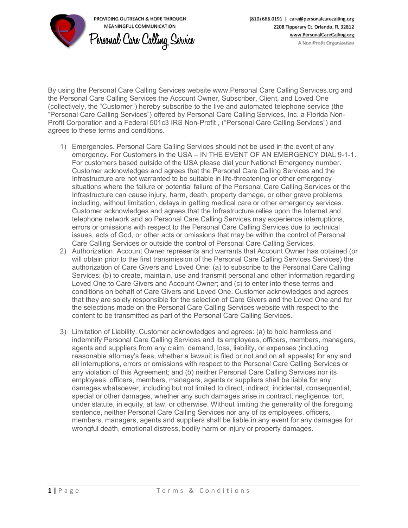

(810) 666.0191 | care@personalcarecalling.org 2208 Tipperary Ct. Orlando, FL 32812

By using the Personal Care Calling Services website www.Personal Care Calling Services.org and the Personal Care Calling Services the Account Owner, Subscriber, Client, and Loved One (collectively, the "Customer") hereby subscribe to the live and automated telephone service (the "Personal Care Calling Services") offered by Personal Care Calling Services, Inc. a Florida Non-Profit Corporation and a Federal 501c3 IRS Non-Profit , ("Personal Care Calling Services") and agrees to these terms and conditions.

- 1) Emergencies. Personal Care Calling Services should not be used in the event of any emergency. For Customers in the USA – IN THE EVENT OF AN EMERGENCY DIAL 9-1-1. For customers based outside of the USA please dial your National Emergency number. Customer acknowledges and agrees that the Personal Care Calling Services and the Infrastructure are not warranted to be suitable in life-threatening or other emergency situations where the failure or potential failure of the Personal Care Calling Services or the Infrastructure can cause injury, harm, death, property damage, or other grave problems, including, without limitation, delays in getting medical care or other emergency services. Customer acknowledges and agrees that the Infrastructure relies upon the Internet and telephone network and so Personal Care Calling Services may experience interruptions, errors or omissions with respect to the Personal Care Calling Services due to technical issues, acts of God, or other acts or omissions that may be within the control of Personal Care Calling Services or outside the control of Personal Care Calling Services.
- 2) Authorization. Account Owner represents and warrants that Account Owner has obtained (or will obtain prior to the first transmission of the Personal Care Calling Services Services) the authorization of Care Givers and Loved One: (a) to subscribe to the Personal Care Calling Services; (b) to create, maintain, use and transmit personal and other information regarding Loved One to Care Givers and Account Owner; and (c) to enter into these terms and conditions on behalf of Care Givers and Loved One. Customer acknowledges and agrees that they are solely responsible for the selection of Care Givers and the Loved One and for the selections made on the Personal Care Calling Services website with respect to the content to be transmitted as part of the Personal Care Calling Services.
- 3) Limitation of Liability. Customer acknowledges and agrees: (a) to hold harmless and indemnify Personal Care Calling Services and its employees, officers, members, managers, agents and suppliers from any claim, demand, loss, liability, or expenses (including reasonable attorney's fees, whether a lawsuit is filed or not and on all appeals) for any and all interruptions, errors or omissions with respect to the Personal Care Calling Services or any violation of this Agreement; and (b) neither Personal Care Calling Services nor its employees, officers, members, managers, agents or suppliers shall be liable for any damages whatsoever, including but not limited to direct, indirect, incidental, consequential, special or other damages, whether any such damages arise in contract, negligence, tort, under statute, in equity, at law, or otherwise. Without limiting the generality of the foregoing sentence, neither Personal Care Calling Services nor any of its employees, officers, members, managers, agents and suppliers shall be liable in any event for any damages for wrongful death, emotional distress, bodily harm or injury or property damages.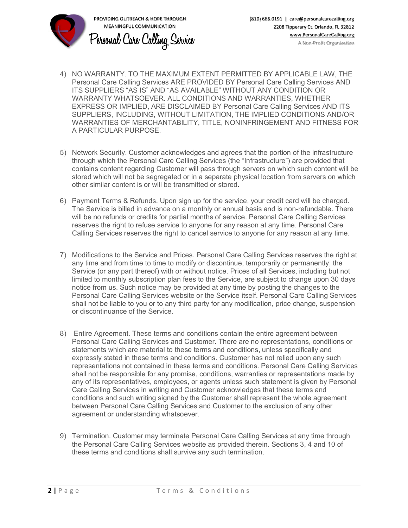

- 4) NO WARRANTY. TO THE MAXIMUM EXTENT PERMITTED BY APPLICABLE LAW, THE Personal Care Calling Services ARE PROVIDED BY Personal Care Calling Services AND ITS SUPPLIERS "AS IS" AND "AS AVAILABLE" WITHOUT ANY CONDITION OR WARRANTY WHATSOEVER. ALL CONDITIONS AND WARRANTIES, WHETHER EXPRESS OR IMPLIED, ARE DISCLAIMED BY Personal Care Calling Services AND ITS SUPPLIERS, INCLUDING, WITHOUT LIMITATION, THE IMPLIED CONDITIONS AND/OR WARRANTIES OF MERCHANTABILITY, TITLE, NONINFRINGEMENT AND FITNESS FOR A PARTICULAR PURPOSE.
- 5) Network Security. Customer acknowledges and agrees that the portion of the infrastructure through which the Personal Care Calling Services (the "Infrastructure") are provided that contains content regarding Customer will pass through servers on which such content will be stored which will not be segregated or in a separate physical location from servers on which other similar content is or will be transmitted or stored.
- 6) Payment Terms & Refunds. Upon sign up for the service, your credit card will be charged. The Service is billed in advance on a monthly or annual basis and is non-refundable. There will be no refunds or credits for partial months of service. Personal Care Calling Services reserves the right to refuse service to anyone for any reason at any time. Personal Care Calling Services reserves the right to cancel service to anyone for any reason at any time.
- 7) Modifications to the Service and Prices. Personal Care Calling Services reserves the right at any time and from time to time to modify or discontinue, temporarily or permanently, the Service (or any part thereof) with or without notice. Prices of all Services, including but not limited to monthly subscription plan fees to the Service, are subject to change upon 30 days notice from us. Such notice may be provided at any time by posting the changes to the Personal Care Calling Services website or the Service itself. Personal Care Calling Services shall not be liable to you or to any third party for any modification, price change, suspension or discontinuance of the Service.
- 8) Entire Agreement. These terms and conditions contain the entire agreement between Personal Care Calling Services and Customer. There are no representations, conditions or statements which are material to these terms and conditions, unless specifically and expressly stated in these terms and conditions. Customer has not relied upon any such representations not contained in these terms and conditions. Personal Care Calling Services shall not be responsible for any promise, conditions, warranties or representations made by any of its representatives, employees, or agents unless such statement is given by Personal Care Calling Services in writing and Customer acknowledges that these terms and conditions and such writing signed by the Customer shall represent the whole agreement between Personal Care Calling Services and Customer to the exclusion of any other agreement or understanding whatsoever.
- 9) Termination. Customer may terminate Personal Care Calling Services at any time through the Personal Care Calling Services website as provided therein. Sections 3, 4 and 10 of these terms and conditions shall survive any such termination.